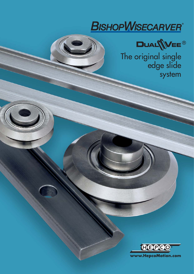



The original single edge slide system

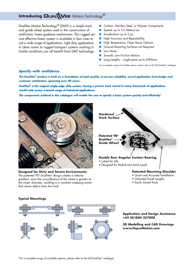# **Introducing DUALWEE** Motion Technology®

DualVee Motion Technology® (DMT) is a simple track and guide wheel system used in the construction of antifriction, linear guidance mechanisms. This rugged yet cost effective linear system is available in four sizes to suit a wide range of applications. Light duty applications in clean rooms to rugged transport systems working in hostile conditions can all benefit from DMT technology.

- -Carbon, Stainless Steel, or Polymer Components
- -Speeds up to 5.5 Meters/sec
- -Acceleration up to 5 g's
- -High Accuracy and Repeatability
- -High Temperature, Clean Room Options
- -Ground Mounting Surfaces not Required
- -Low Noise
- -Smooth, Low Friction Motion
- **Long Lengths single piece up to 6096mm**

For a complete range of available options, please refer to the full DualVee® catalogue.

### **Specify with confidence**

**The DualVee® product is built on a foundation of total quality, in-service reliability, sound application knowledge and customer satisfaction, spanning over 40 years.**

**DualVee® is the original single edge slide system, having a proven track record in many thousands of applications world-wide across a broad range of industrial applications.**

**The components outlined in this catalogue will enable the user to specify a basic system quickly and efficiently\***



**Designed for Dirty and Severe Environments**  The patented 90º DualVee® design creates a velocity gradient, since the circumference of the wheel is greater at the major diameter, resulting in a constant sweeping action that cleans debris from the track.

**Hardened Track Surface**

**Patented 90**º **DualVee® Guide Wheel**

### **Double Row Angular Contact Bearing**

- Lubed for Life
- Designed for Radial and Axial Loads

#### **Patented Mounting Shoulder**

- Quick and Accurate Installation
- Unlimited Travel Lengths
- Easily Joined Track

#### **Typical Mountings**



### **Application and Design Assistance +44 (0)1884 257000**

**3D Modelling and CAD Drawings www.HepcoMotion.com**

\*For a complete range of available options, please refer to the full DualVee® catalogue.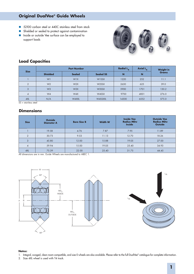# **Original DualVee® Guide Wheels**

- 52100 carbon steel or 440C stainless steel from stock
- **B** Shielded or sealed to protect against contamination
- **n** Inside or outside Vee surface can be employed to support loads



# **Load Capacities**

|                |                 | <b>Part Number</b> | Radial L <sub>p</sub> | Axial $L_{\rm A}$ | <b>Weight in</b> |              |  |
|----------------|-----------------|--------------------|-----------------------|-------------------|------------------|--------------|--|
| <b>Size</b>    | <b>Shielded</b> | <b>Sealed</b>      | <b>Sealed SS</b>      | N                 | N                | <b>Grams</b> |  |
|                | W1              | W <sub>1X</sub>    | <b>WISSX</b>          | 1220              | 252              | 11.1         |  |
| $\overline{2}$ | W <sub>2</sub>  | W2X                | W2SSX                 | 2650              | 625              | 39.0         |  |
| 3              | W <sub>3</sub>  | W3X                | W3SSX                 | 5900              | 1701             | 130.2        |  |
| 4              | W <sub>4</sub>  | W4X                | W4SSX                 | 9700              | 4001             | 276.0        |  |
| 4XL            | N/A             | W4XXL              | W4SSXXL               | 14300             | 6552             | 575.0        |  |

 $SS = \text{stainless steel}$ 

### **Dimensions**

| <b>Size</b>    | <b>Outside</b><br><b>Diameter A</b> | <b>Bore Size B</b> | <b>Width W</b> | <b>Inside Vee</b><br><b>Radius MDw</b><br><b>Inside</b> | <b>Outside Vee</b><br><b>Radius MDw</b><br><b>Outside</b> |  |
|----------------|-------------------------------------|--------------------|----------------|---------------------------------------------------------|-----------------------------------------------------------|--|
|                | 19.58                               | 4.76               | 7.87           | 7.95                                                    | 11.89                                                     |  |
| $\mathcal{P}$  | 30.73                               | 9.53               | 11.13          | 12.70                                                   | 18.26                                                     |  |
| 3              | 45.80                               | 12.00              | 15.88          | 19.05                                                   | 27.00                                                     |  |
| $\overline{4}$ | 59.94                               | 15.00              | 19.05          | 25.40                                                   | 34.93                                                     |  |
| 4XL            | 75.39                               | 22.00              | 25.40          | 31.75                                                   | 44.45                                                     |  |

All dimensions are in mm. Guide Wheels are manufactured to ABEC 1.



#### **Notes:**

- 1. Integral, swaged, clean room compatible, and size 0 wheels are also available. Please refer to the full DualVee® catalogue for complete information.
- 2. Size 4XL wheel is used with T4 track.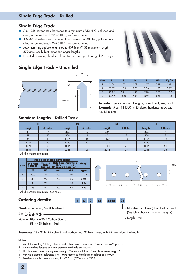# **Single Edge Track**

- AISI 1045 carbon steel hardened to a minimum of 53 HRC, polished and oiled, or unhardened (22-25 HRC), as formed, oiled
- AISI 420 stainless steel hardened to a minimum of 40 HRC, polished and oiled, or unhardened (20-23 HRC), as formed, oiled
- - Maximum single piece lengths up to 6096mm (T4SS maximum length 5790mm) easily butt-joined for longer lengths
- **E** Patented mounting shoulder allows for accurate positioning of Vee ways

# **Single Edge Track – Undrilled**



| $MD_T$   |        |  |
|----------|--------|--|
|          |        |  |
|          | E<br>G |  |
| AAX 0.25 | J      |  |
|          |        |  |

 $-90^\circ$   $-$ 

| <b>Size</b>    |       |       | G    |      | <b>MD<sub>T</sub></b> | Kg/m  |
|----------------|-------|-------|------|------|-----------------------|-------|
|                | 11.09 | 4.74  | 0.78 | 1.57 | 3.17                  | 0.272 |
| $\overline{2}$ | 15.87 | 6.35  | 0.78 | 2.36 | 4.75                  | 0.509 |
| 3              | 22.22 | 8.71  | 1.57 | 2.76 | 6.35                  | 1.02  |
| $\overline{4}$ | 26.97 | 11.09 | 2.36 | 3.17 | 7.92                  | 1.63  |

**To order:** Specify number of lengths, type of track, size, length. **Example:** 5 ea., T4 1500mm (5 pieces, hardened track, size #4, 1.5m long).

# **Standard Lengths – Drilled Track**

| T1     |         | T2     | T <sub>3</sub> |        | <b>T4</b> |        |         |
|--------|---------|--------|----------------|--------|-----------|--------|---------|
| Length | # Holes | Length | # Holes        | Length | # Holes   | Length | # Holes |
| 311    |         | 446    |                | 446    |           | 446    |         |
| 581    | 13      | 806    |                | 806    |           | 806    |         |
| 851    | 19      | 1166   | 13             | 1166   | 13        | 1166   | 13      |
| 1121   | 25      | 1526   |                | 1526   |           | 1526   |         |
| 1391   | 31      | 1886   | 21             | 1886   | 21        | 1886   | 21      |
| 1661   | 37      | 2246   | 25             | 2246   | 25        | 2246   | 25      |

\* All dimensions are in mm.



**Examples**: T3 - 2246-25 = size 3 track carbon steel, 2246mm long, with 25 holes along the length.

### **Notes:**

- 1. Available coating/plating block oxide, thin dense chrome, or SS with Pristinox™ process.
- 2. Non-standard lengths and hole patterns available on request.
- 3. HS dimension hole spacing tolerance  $\pm$  0.2 non-cumulative. ES end hole tolerance  $\pm$  0.5
- 4. MH Hole diameter tolerance  $\pm$  0.1. MHL mounting hole location tolerance  $\pm$  0.050
- 5. Maximum single piece track length: 6026mm (5756mm for T4SS)

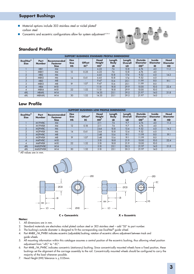# **Support Bushings**

- Material options include 303 stainless steel or nickel plated<sup>2</sup> carbon steel
- Concentric and eccentric configurations allow for system adjustment<sup>4,5 & 6</sup>



### **Standard Profile**

|                         | <b>SUPPORT BUSHINGS STANDARD PROFILE DIMENSIONS'</b> |                                               |                                        |                                  |                                                 |                             |                         |                                                      |                                        |                                             |
|-------------------------|------------------------------------------------------|-----------------------------------------------|----------------------------------------|----------------------------------|-------------------------------------------------|-----------------------------|-------------------------|------------------------------------------------------|----------------------------------------|---------------------------------------------|
| DualVee®<br><b>Size</b> | Part<br><b>Number</b>                                | Recommended<br><b>Fastener</b><br><b>Size</b> | <b>Hex</b><br><b>Size</b><br><b>HS</b> | <b>Offset</b><br>EC <sup>5</sup> | <b>Head</b><br><b>Height</b><br>HH <sup>7</sup> | Length<br><b>Body</b><br>LB | Length<br>Overall<br>LO | <b>Outside</b><br><b>Diameter</b><br>OD <sup>3</sup> | <b>Inside</b><br><b>Diameter</b><br>ID | <b>Head</b><br><b>Diameter</b><br><b>HD</b> |
|                         | MB <sub>1</sub>                                      | M4                                            |                                        |                                  | 6.22                                            | 7.6                         | 13.8                    | 4.76                                                 | 4.0                                    | 11.2                                        |
|                         | MBX1                                                 | M4                                            | 12                                     | 0.25                             | 6.22                                            | 7.6                         | 13.8                    | 4.76                                                 | 4.0                                    |                                             |
| ◠                       | MB2                                                  | M6                                            |                                        |                                  | 6.65                                            | 10.8                        | 17.4                    | 9.52                                                 | 6.0                                    | 14.2                                        |
| $\mathcal{P}$           | MBX2                                                 | M6                                            | 14                                     | 0.61                             | 6.65                                            | 10.8                        | 17.4                    | 9.52                                                 | 6.0                                    |                                             |
| 3                       | MB <sub>3</sub>                                      | M8                                            |                                        |                                  | 9.47                                            | 15.6                        | 25.1                    | 11.99                                                | 8.0                                    | 19.1                                        |
| 3                       | MBX3                                                 | M8                                            | 19                                     | 1.07                             | 9.47                                            | 15.6                        | 25.1                    | 11.99                                                | 8.0                                    | $\sim$                                      |
|                         | MB4                                                  | <b>M10</b>                                    |                                        |                                  | 11.10                                           | 18.8                        | 29.9                    | 15.00                                                | 10.0                                   | 22.4                                        |
|                         | MBX4                                                 | M <sub>10</sub>                               | 22                                     | 1.52                             | 11.10                                           | 18.8                        | 29.9                    | 15.00                                                | 10.0                                   |                                             |
| 4XL                     | MB4XL                                                | M14                                           | $\sim$                                 |                                  | 14.35                                           | 25.1                        | 39.5                    | 21.97                                                | 14.0                                   | 31.8                                        |
| 4XL                     | MBX4XL                                               | M <sub>14</sub>                               | 30                                     | .52                              | 14.35                                           | 25.1                        | 39.5                    | 21.97                                                | 14.0                                   |                                             |

### **Low Profile**

| <b>SUPPORT BUSHINGS LOW PROFILE DIMENSIONS'</b> |                       |                                               |                                        |                           |                                          |                             |                         |                                                      |                                        |                                             |
|-------------------------------------------------|-----------------------|-----------------------------------------------|----------------------------------------|---------------------------|------------------------------------------|-----------------------------|-------------------------|------------------------------------------------------|----------------------------------------|---------------------------------------------|
| <b>DualVee</b> <sup>®</sup><br><b>Size</b>      | Part<br><b>Number</b> | Recommended<br><b>Fastener</b><br><b>Size</b> | <b>Hex</b><br><b>Size</b><br><b>HS</b> | Offset <sup>5</sup><br>EC | Head<br><b>Height</b><br>HH <sup>7</sup> | Length<br><b>Body</b><br>LB | Length<br>Overall<br>LO | <b>Outside</b><br><b>Diameter</b><br>OD <sup>3</sup> | <b>Inside</b><br><b>Diameter</b><br>ID | <b>Head</b><br><b>Diameter</b><br><b>HD</b> |
|                                                 | <b>M1PWBC</b>         | M4                                            |                                        |                           | 2.11                                     | 7.6                         | 9.7                     | 4.76                                                 | 4.0                                    | 11.2                                        |
|                                                 | <b>M1PWBX</b>         | M4                                            | 12                                     | 0.18                      | 2.11                                     | 7.6                         | 9.7                     | 4.76                                                 | 4.0                                    |                                             |
|                                                 | M2PWBC                | M6                                            |                                        |                           | 2.64                                     | 10.8                        | 13.4                    | 9.52                                                 | 6.0                                    | 14.2                                        |
|                                                 | M2PWBX                | M6                                            | 14                                     | 0.61                      | 2.64                                     | 10.8                        | 13.4                    | 9.52                                                 | 6.0                                    | $\overline{\phantom{a}}$                    |
|                                                 | M3PWBC                | M8                                            |                                        |                           | 3.48                                     | 15.6                        | 19.1                    | 11.99                                                | 8.0                                    | 19.1                                        |
|                                                 | M3PWBX                | M <sub>8</sub>                                | 19                                     | 1.07                      | 3.48                                     | 15.6                        | 19.1                    | 11.99                                                | 8.0                                    |                                             |
|                                                 | M4PWBC                | <b>M10</b>                                    |                                        |                           | 3.10                                     | 18.8                        | 21.9                    | 15.00                                                | 10.0                                   | 22.4                                        |
|                                                 | M4PWBX                | M <sub>10</sub>                               | 22                                     | 1.52                      | 3.10                                     | 18.8                        | 21.9                    | 15.00                                                | 10.0                                   | $\overline{\phantom{a}}$                    |
| 4XL                                             | M4XLPWBC              | M <sub>14</sub>                               |                                        |                           | 5.10                                     | 25.1                        | 30.3                    | 21.97                                                | 14.0                                   | 31.8                                        |
| 4XL                                             | M4XLPWBX              | M14                                           | 30                                     | 1.52                      | 5.10                                     | 25.1                        | 30.3                    | 21.97                                                | 14.0                                   |                                             |

\* All values are in mm.



#### **Notes:**

- 1. All dimensions are in mm.
- 2. Standard materials are electroless nickel plated carbon steel or 303 stainless steel add "SS" to part number.
- 3. The bushing's outside diameter is designed to fit the corresponding size DualVee® guide wheel.
- 4. Part #MBX\_/M\_PWBX indicates eccentric (adjustable) bushing; rotation of eccentric allows adjustment between track and guide wheels.
- 5. All mounting information within this catalogue assumes a central position of the eccentric bushing, thus allowing wheel position adjustment from "+EC" to "-EC".
- 6. Part #MB\_/M\_PWBC indicates concentric (stationary) bushing; Since concentrically mounted wheels have a fixed position, these bushings set the alignment of the carriage assembly to the rail. Concentrically mounted wheels should be configured to carry the majority of the load whenever possible.
- 7. Head Height (HH) Tolerance is  $\pm$  0.05mm.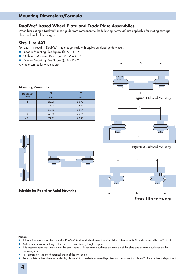### **DualVee®-based Wheel Plate and Track Plate Assemblies**

When fabricating a DualVee® linear guide from componentry, the following (formulae) are applicable for mating carriage plate and track plate designs:

### **Size 1 to 4XL**

For sizes 1 through 4 DualVee® single edge track with equivalent sized guide wheels:

- $\blacksquare$  Inboard Mounting (See Figure 1):  $A = B + X$
- Outboard Mounting (See Figure 2): A = C X
- Exterior Mounting (See Figure 3): A = D Y
- A = hole centres for wheel plate



**Figure 1** Inboard Mounting



**Figure 2** Outboard Mounting



**Figure 3** Exterior Mounting

#### **Notes:**

- Information above uses the same size DualVee® track and wheel except for size 4XL which uses W4XXL guide wheel with size T4 track.
- -Side views shown only, length of wheel plates can be any length required.
- It is recommended that wheel plates be constructed with concentric bushings on one side of the plate and eccentric bushings on the opposing side.
- -"D" dimension is to the theoretical sharp of the 90° angle.
- For complete technical reference details, please visit our website at www.HepcoMotion.com or contact HepcoMotion's technical department.

### **Mounting Constants**

| <b>DualVee®</b> | X     |       |  |  |
|-----------------|-------|-------|--|--|
| <b>Size</b>     | mm    | mm    |  |  |
|                 | 22.20 | 23.72 |  |  |
|                 | 34.90 | 36.47 |  |  |
| 3               | 50.80 | 53.95 |  |  |
|                 | 66.60 | 69.85 |  |  |
| 4XL             | 79.35 | 88.90 |  |  |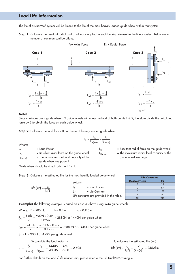## **Load Life Information**

The life of a DualVee® system will be limited to the life of the most heavily loaded guide wheel within that system.

**Step 1:** Calculate the resultant radial and axial loads applied to each bearing element in the linear system. Below are a number of common configurations.



#### **Note:**

Since carriages use 4 guide wheels, 2 guide wheels will carry the load at both points 1 & 2, therefore divide the calculated force by 2 to obtain the force on each guide wheel.

**Step 2:** Calculate the load factor LF for the most heavily loaded guide wheel.

$$
L_F = \frac{F_A}{F_{A(max)}} + \frac{F_R}{F_{R(max)}}
$$

 $L_F$  = Load Factor  $L_{\Delta}$  = Resultant axial force on the guide wheel  $L_{A(max)}$  = The maximum axial load capacity of the guide wheel see page 1  $L_R$  = Resultant radial force on the guide wheel  $L_{R(max)}$  = The maximum radial load capacity of the guide wheel see page 1 Where:

Guide wheel should be sized such that LF  $\leq$  1.

**Step 3:** Calculate the estimated life for the most heavily loaded guide wheel.

Life (km) =  $\frac{L_C}{(L_F^3)}$  $=\frac{1}{2}$ Where:  $L_F$  = Load Factor  $L_C$  = Life Constant Life constants are provided in the table.

| <b>Life Constants</b>     |     |  |  |  |  |
|---------------------------|-----|--|--|--|--|
| DualVee <sup>®</sup> size | LC  |  |  |  |  |
|                           | 55  |  |  |  |  |
|                           | 87  |  |  |  |  |
|                           | 130 |  |  |  |  |
|                           | 171 |  |  |  |  |
| <b>AXI</b>                | 215 |  |  |  |  |

**Example:** The following example is based on Case 3, above using W4X guide wheels.

Where: 
$$
F = 900 \text{ N}
$$
,  $b = 0.4 \text{ m}$ ,  $c = 0.125 \text{ m}$   
\n
$$
F_{A1} = \frac{F \times b}{c} = \frac{900 \text{ N} \times 0.4 \text{ m}}{0.125 \text{ m}} = 2880 \text{ N or } 1440 \text{ N per guide wheel}
$$
\n
$$
F_{A2} = \frac{-F \times b}{c} = \frac{-900 \text{ N} \times 0.4 \text{ m}}{0.125 \text{ m}} = -2880 \text{ N or } -1440 \text{ N per guide wheel}
$$

 $F_{R1}$  = F = 900N or 450N per guide wheel

To calculate the load factor  $L_F$  To calculate the estimated life (km)

$$
L_{F} = \frac{F_{A}}{F_{A(max)}} + \frac{F_{R}}{F_{R(max)}} = \frac{1440N}{4001N} + \frac{450}{9700} = 0.406
$$
 Life (km)  $= \frac{L_{C}}{(L_{F}^{3})} = \frac{171}{0.406^{3}} = 2550 \text{ km}$ 

For further details on the load / life relationship, please refer to the full DualVee® catalogue.

**5**